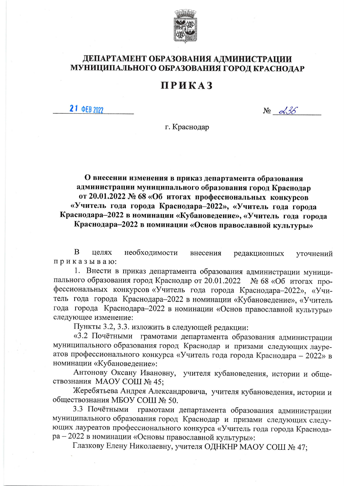

## ДЕПАРТАМЕНТ ОБРАЗОВАНИЯ АДМИНИСТРАЦИИ МУНИЦИПАЛЬНОГО ОБРАЗОВАНИЯ ГОРОД КРАСНОДАР

## **ПРИКАЗ**

21 ΦEB 2022

 $N_2 \propto 36$ 

г. Краснодар

О внесении изменения в приказ департамента образования администрации муниципального образования город Краснодар от 20.01.2022 № 68 «Об итогах профессиональных конкурсов «Учитель года города Краснодара-2022», «Учитель года города Краснодара-2022 в номинации «Кубановедение», «Учитель года города Краснодара-2022 в номинации «Основ православной культуры»

 $\mathbf{B}$ целях необходимости внесения редакционных уточнений приказываю:

1. Внести в приказ департамента образования администрации муниципального образования город Краснодар от 20.01.2022 № 68 «Об итогах профессиональных конкурсов «Учитель года города Краснодара-2022», «Учитель года города Краснодара-2022 в номинации «Кубановедение», «Учитель года города Краснодара-2022 в номинации «Основ православной культуры» следующее изменение:

Пункты 3.2, 3.3. изложить в следующей редакции:

«3.2 Почётными грамотами департамента образования администрации муниципального образования город Краснодар и призами следующих лауреатов профессионального конкурса «Учитель года города Краснодара - 2022» в номинации «Кубановедение»:

Антонову Оксану Ивановну, учителя кубановедения, истории и обществознания МАОУ СОШ № 45;

Жеребятьева Андрея Александровича, учителя кубановедения, истории и обществознания МБОУ СОШ № 50.

грамотами департамента образования администрации 3.3 Почётными муниципального образования город Краснодар и призами следующих следующих лауреатов профессионального конкурса «Учитель года города Краснодара - 2022 в номинации «Основы православной культуры»:

Глазкову Елену Николаевну, учителя ОДНКНР МАОУ СОШ № 47;